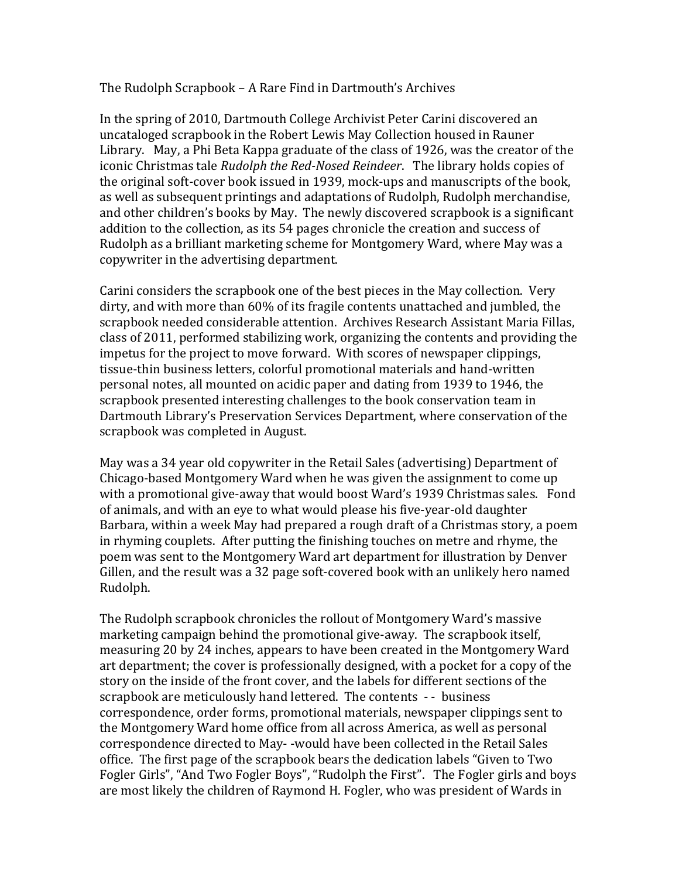The Rudolph Scrapbook – A Rare Find in Dartmouth's Archives

In the spring of 2010, Dartmouth College Archivist Peter Carini discovered an uncataloged scrapbook in the Robert Lewis May Collection housed in Rauner Library. May, a Phi Beta Kappa graduate of the class of 1926, was the creator of the iconic Christmas tale *Rudolph the Red-Nosed Reindeer*. The library holds copies of the original soft-cover book issued in 1939, mock-ups and manuscripts of the book, as well as subsequent printings and adaptations of Rudolph, Rudolph merchandise, and other children's books by May. The newly discovered scrapbook is a significant addition to the collection, as its 54 pages chronicle the creation and success of Rudolph as a brilliant marketing scheme for Montgomery Ward, where May was a copywriter in the advertising department.

Carini considers the scrapbook one of the best pieces in the May collection. Very dirty, and with more than 60% of its fragile contents unattached and jumbled, the scrapbook needed considerable attention. Archives Research Assistant Maria Fillas, class of 2011, performed stabilizing work, organizing the contents and providing the impetus for the project to move forward. With scores of newspaper clippings, tissue-thin business letters, colorful promotional materials and hand-written personal notes, all mounted on acidic paper and dating from 1939 to 1946, the scrapbook presented interesting challenges to the book conservation team in Dartmouth Library's Preservation Services Department, where conservation of the scrapbook was completed in August.

May was a 34 year old copywriter in the Retail Sales (advertising) Department of Chicago-based Montgomery Ward when he was given the assignment to come up with a promotional give-away that would boost Ward's 1939 Christmas sales. Fond of animals, and with an eye to what would please his five-year-old daughter Barbara, within a week May had prepared a rough draft of a Christmas story, a poem in rhyming couplets. After putting the finishing touches on metre and rhyme, the poem was sent to the Montgomery Ward art department for illustration by Denver Gillen, and the result was a 32 page soft-covered book with an unlikely hero named Rudolph.

The Rudolph scrapbook chronicles the rollout of Montgomery Ward's massive marketing campaign behind the promotional give-away. The scrapbook itself, measuring 20 by 24 inches, appears to have been created in the Montgomery Ward art department; the cover is professionally designed, with a pocket for a copy of the story on the inside of the front cover, and the labels for different sections of the scrapbook are meticulously hand lettered. The contents - - business correspondence, order forms, promotional materials, newspaper clippings sent to the Montgomery Ward home office from all across America, as well as personal correspondence directed to May--would have been collected in the Retail Sales office. The first page of the scrapbook bears the dedication labels "Given to Two Fogler Girls", "And Two Fogler Boys", "Rudolph the First". The Fogler girls and boys are most likely the children of Raymond H. Fogler, who was president of Wards in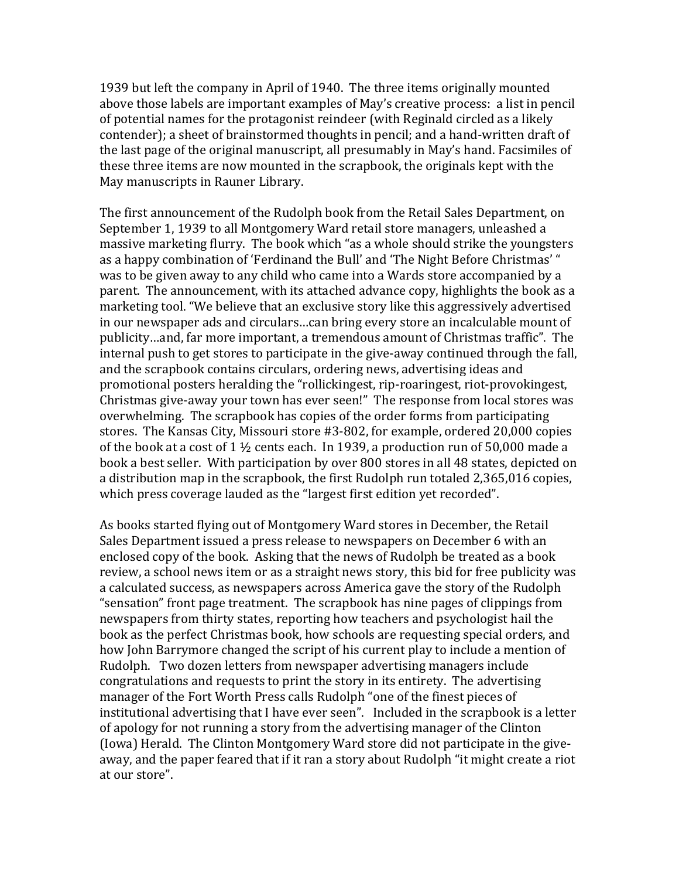1939 but left the company in April of 1940. The three items originally mounted above those labels are important examples of May's creative process: a list in pencil of potential names for the protagonist reindeer (with Reginald circled as a likely contender); a sheet of brainstormed thoughts in pencil; and a hand-written draft of the last page of the original manuscript, all presumably in May's hand. Facsimiles of these three items are now mounted in the scrapbook, the originals kept with the May manuscripts in Rauner Library.

The first announcement of the Rudolph book from the Retail Sales Department, on September 1, 1939 to all Montgomery Ward retail store managers, unleashed a massive marketing flurry. The book which "as a whole should strike the youngsters as a happy combination of 'Ferdinand the Bull' and 'The Night Before Christmas' " was to be given away to any child who came into a Wards store accompanied by a parent. The announcement, with its attached advance copy, highlights the book as a marketing tool. "We believe that an exclusive story like this aggressively advertised in our newspaper ads and circulars...can bring every store an incalculable mount of publicity...and, far more important, a tremendous amount of Christmas traffic". The internal push to get stores to participate in the give-away continued through the fall, and the scrapbook contains circulars, ordering news, advertising ideas and promotional posters heralding the "rollickingest, rip-roaringest, riot-provokingest, Christmas give-away your town has ever seen!" The response from local stores was overwhelming. The scrapbook has copies of the order forms from participating stores. The Kansas City, Missouri store #3-802, for example, ordered 20,000 copies of the book at a cost of  $1\frac{1}{2}$  cents each. In 1939, a production run of 50,000 made a book a best seller. With participation by over 800 stores in all 48 states, depicted on a distribution map in the scrapbook, the first Rudolph run totaled 2,365,016 copies, which press coverage lauded as the "largest first edition yet recorded".

As books started flying out of Montgomery Ward stores in December, the Retail Sales Department issued a press release to newspapers on December 6 with an enclosed copy of the book. Asking that the news of Rudolph be treated as a book review, a school news item or as a straight news story, this bid for free publicity was a calculated success, as newspapers across America gave the story of the Rudolph "sensation" front page treatment. The scrapbook has nine pages of clippings from newspapers from thirty states, reporting how teachers and psychologist hail the book as the perfect Christmas book, how schools are requesting special orders, and how John Barrymore changed the script of his current play to include a mention of Rudolph. Two dozen letters from newspaper advertising managers include congratulations and requests to print the story in its entirety. The advertising manager of the Fort Worth Press calls Rudolph "one of the finest pieces of institutional advertising that I have ever seen". Included in the scrapbook is a letter of apology for not running a story from the advertising manager of the Clinton (Iowa) Herald. The Clinton Montgomery Ward store did not participate in the giveaway, and the paper feared that if it ran a story about Rudolph "it might create a riot at our store".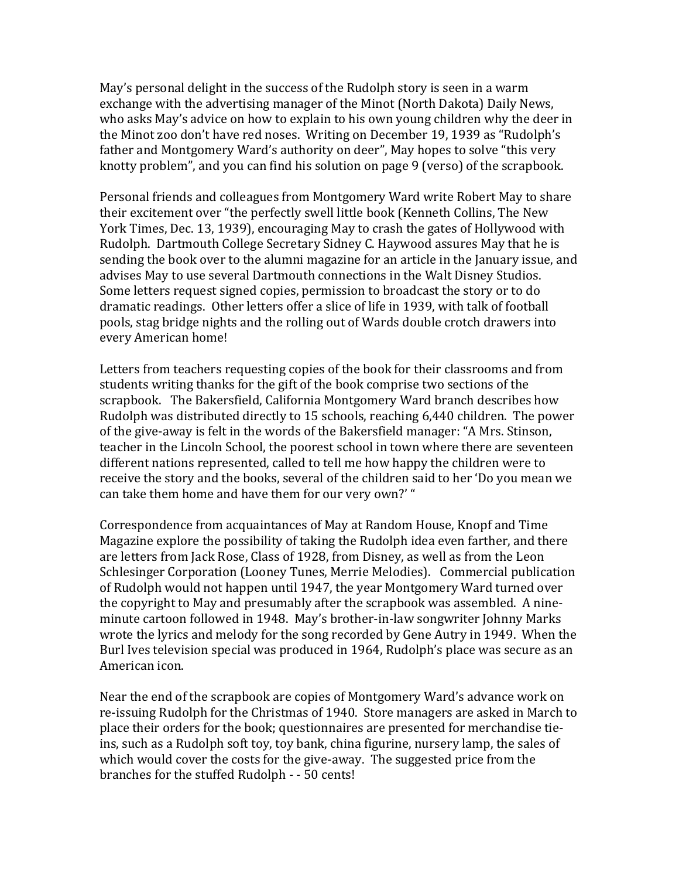May's personal delight in the success of the Rudolph story is seen in a warm exchange with the advertising manager of the Minot (North Dakota) Daily News, who asks May's advice on how to explain to his own young children why the deer in the Minot zoo don't have red noses. Writing on December 19, 1939 as "Rudolph's father and Montgomery Ward's authority on deer", May hopes to solve "this very" knotty problem", and you can find his solution on page 9 (verso) of the scrapbook.

Personal friends and colleagues from Montgomery Ward write Robert May to share their excitement over "the perfectly swell little book (Kenneth Collins, The New York Times, Dec. 13, 1939), encouraging May to crash the gates of Hollywood with Rudolph. Dartmouth College Secretary Sidney C. Haywood assures May that he is sending the book over to the alumni magazine for an article in the January issue, and advises May to use several Dartmouth connections in the Walt Disney Studios. Some letters request signed copies, permission to broadcast the story or to do dramatic readings. Other letters offer a slice of life in 1939, with talk of football pools, stag bridge nights and the rolling out of Wards double crotch drawers into every American home!

Letters from teachers requesting copies of the book for their classrooms and from students writing thanks for the gift of the book comprise two sections of the scrapbook. The Bakersfield, California Montgomery Ward branch describes how Rudolph was distributed directly to 15 schools, reaching 6,440 children. The power of the give-away is felt in the words of the Bakersfield manager: "A Mrs. Stinson, teacher in the Lincoln School, the poorest school in town where there are seventeen different nations represented, called to tell me how happy the children were to receive the story and the books, several of the children said to her 'Do you mean we can take them home and have them for our very own?' "

Correspondence from acquaintances of May at Random House, Knopf and Time Magazine explore the possibility of taking the Rudolph idea even farther, and there are letters from Jack Rose, Class of 1928, from Disney, as well as from the Leon Schlesinger Corporation (Looney Tunes, Merrie Melodies). Commercial publication of Rudolph would not happen until 1947, the year Montgomery Ward turned over the copyright to May and presumably after the scrapbook was assembled. A nineminute cartoon followed in 1948. May's brother-in-law songwriter Johnny Marks wrote the lyrics and melody for the song recorded by Gene Autry in 1949. When the Burl Ives television special was produced in 1964, Rudolph's place was secure as an American icon.

Near the end of the scrapbook are copies of Montgomery Ward's advance work on re-issuing Rudolph for the Christmas of 1940. Store managers are asked in March to place their orders for the book; questionnaires are presented for merchandise tieins, such as a Rudolph soft toy, toy bank, china figurine, nursery lamp, the sales of which would cover the costs for the give-away. The suggested price from the branches for the stuffed Rudolph - - 50 cents!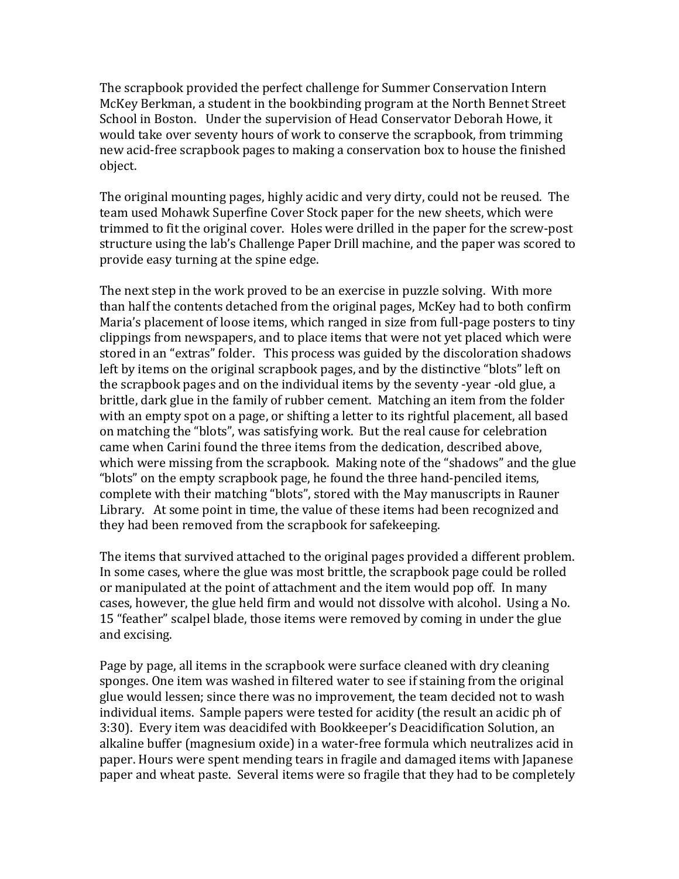The scrapbook provided the perfect challenge for Summer Conservation Intern McKey Berkman, a student in the bookbinding program at the North Bennet Street School in Boston. Under the supervision of Head Conservator Deborah Howe, it would take over seventy hours of work to conserve the scrapbook, from trimming new acid-free scrapbook pages to making a conservation box to house the finished object.

The original mounting pages, highly acidic and very dirty, could not be reused. The team used Mohawk Superfine Cover Stock paper for the new sheets, which were trimmed to fit the original cover. Holes were drilled in the paper for the screw-post structure using the lab's Challenge Paper Drill machine, and the paper was scored to provide easy turning at the spine edge.

The next step in the work proved to be an exercise in puzzle solving. With more than half the contents detached from the original pages, McKey had to both confirm Maria's placement of loose items, which ranged in size from full-page posters to tiny clippings from newspapers, and to place items that were not yet placed which were stored in an "extras" folder. This process was guided by the discoloration shadows left by items on the original scrapbook pages, and by the distinctive "blots" left on the scrapbook pages and on the individual items by the seventy -year -old glue, a brittle, dark glue in the family of rubber cement. Matching an item from the folder with an empty spot on a page, or shifting a letter to its rightful placement, all based on matching the "blots", was satisfying work. But the real cause for celebration came when Carini found the three items from the dedication, described above, which were missing from the scrapbook. Making note of the "shadows" and the glue "blots" on the empty scrapbook page, he found the three hand-penciled items, complete with their matching "blots", stored with the May manuscripts in Rauner Library. At some point in time, the value of these items had been recognized and they had been removed from the scrapbook for safekeeping.

The items that survived attached to the original pages provided a different problem. In some cases, where the glue was most brittle, the scrapbook page could be rolled or manipulated at the point of attachment and the item would pop off. In many cases, however, the glue held firm and would not dissolve with alcohol. Using a No. 15 "feather" scalpel blade, those items were removed by coming in under the glue and excising.

Page by page, all items in the scrapbook were surface cleaned with dry cleaning sponges. One item was washed in filtered water to see if staining from the original glue would lessen; since there was no improvement, the team decided not to wash individual items. Sample papers were tested for acidity (the result an acidic ph of 3:30). Every item was deacidifed with Bookkeeper's Deacidification Solution, an alkaline buffer (magnesium oxide) in a water-free formula which neutralizes acid in paper. Hours were spent mending tears in fragile and damaged items with Japanese paper and wheat paste. Several items were so fragile that they had to be completely